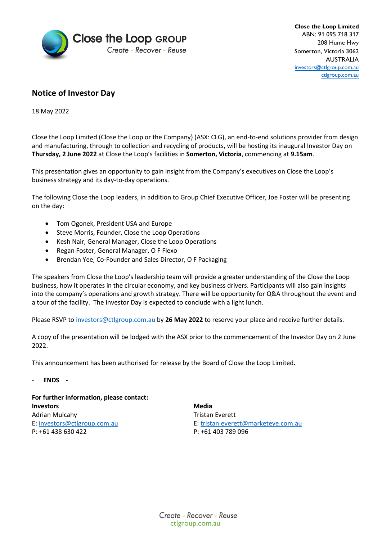

**Close the Loop Limited** ABN: 91 095 718 317 208 Hume Hwy Somerton, Victoria 3062 AUSTRALIA [investors@ctlgroup.com.au](mailto:investors@ctlgroup.com.au) [ctlgroup.com.au](https://ctlgroup.com.au/)

## **Notice of Investor Day**

18 May 2022

Close the Loop Limited (Close the Loop or the Company) (ASX: CLG), an end-to-end solutions provider from design and manufacturing, through to collection and recycling of products, will be hosting its inaugural Investor Day on **Thursday, 2 June 2022** at Close the Loop's facilities in **Somerton, Victoria**, commencing at **9.15am**.

This presentation gives an opportunity to gain insight from the Company's executives on Close the Loop's business strategy and its day-to-day operations.

The following Close the Loop leaders, in addition to Group Chief Executive Officer, Joe Foster will be presenting on the day:

- Tom Ogonek, President USA and Europe
- Steve Morris, Founder, Close the Loop Operations
- Kesh Nair, General Manager, Close the Loop Operations
- Regan Foster, General Manager, O F Flexo
- Brendan Yee, Co-Founder and Sales Director, O F Packaging

The speakers from Close the Loop's leadership team will provide a greater understanding of the Close the Loop business, how it operates in the circular economy, and key business drivers. Participants will also gain insights into the company's operations and growth strategy. There will be opportunity for Q&A throughout the event and a tour of the facility. The Investor Day is expected to conclude with a light lunch.

Please RSVP to [investors@ctlgroup.com.au](mailto:investors@ctlgroup.com.au) by **26 May 2022** to reserve your place and receive further details.

A copy of the presentation will be lodged with the ASX prior to the commencement of the Investor Day on 2 June 2022.

This announcement has been authorised for release by the Board of Close the Loop Limited.

## - **ENDS -**

## **For further information, please contact: Investors Media** Adrian Mulcahy **Tristan Everett** E[: investors@ctlgroup.com.au](mailto:investors@ctlgroup.com.au) E[: tristan.everett@marketeye.com.au](mailto:tristan.everett@marketeye.com.au)

P: +61 438 630 422 P: +61 403 789 096